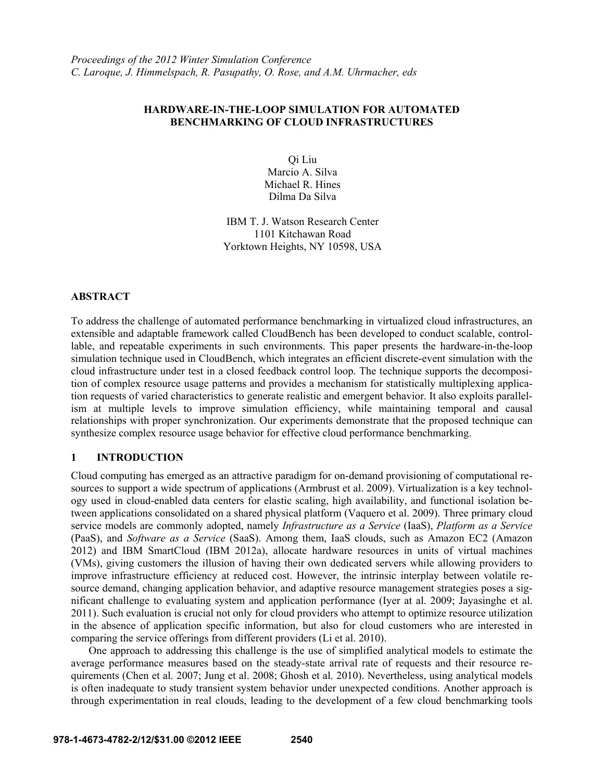# **HARDWARE-IN-THE-LOOP SIMULATION FOR AUTOMATED BENCHMARKING OF CLOUD INFRASTRUCTURES**

Qi Liu Marcio A. Silva Michael R. Hines Dilma Da Silva

IBM T. J. Watson Research Center 1101 Kitchawan Road Yorktown Heights, NY 10598, USA

# **ABSTRACT**

To address the challenge of automated performance benchmarking in virtualized cloud infrastructures, an extensible and adaptable framework called CloudBench has been developed to conduct scalable, controllable, and repeatable experiments in such environments. This paper presents the hardware-in-the-loop simulation technique used in CloudBench, which integrates an efficient discrete-event simulation with the cloud infrastructure under test in a closed feedback control loop. The technique supports the decomposition of complex resource usage patterns and provides a mechanism for statistically multiplexing application requests of varied characteristics to generate realistic and emergent behavior. It also exploits parallelism at multiple levels to improve simulation efficiency, while maintaining temporal and causal relationships with proper synchronization. Our experiments demonstrate that the proposed technique can synthesize complex resource usage behavior for effective cloud performance benchmarking.

# **1 INTRODUCTION**

Cloud computing has emerged as an attractive paradigm for on-demand provisioning of computational resources to support a wide spectrum of applications (Armbrust et al. 2009). Virtualization is a key technology used in cloud-enabled data centers for elastic scaling, high availability, and functional isolation between applications consolidated on a shared physical platform (Vaquero et al. 2009). Three primary cloud service models are commonly adopted, namely *Infrastructure as a Service* (IaaS), *Platform as a Service* (PaaS), and *Software as a Service* (SaaS). Among them, IaaS clouds, such as Amazon EC2 (Amazon 2012) and IBM SmartCloud (IBM 2012a), allocate hardware resources in units of virtual machines (VMs), giving customers the illusion of having their own dedicated servers while allowing providers to improve infrastructure efficiency at reduced cost. However, the intrinsic interplay between volatile resource demand, changing application behavior, and adaptive resource management strategies poses a significant challenge to evaluating system and application performance (Iyer at al. 2009; Jayasinghe et al. 2011). Such evaluation is crucial not only for cloud providers who attempt to optimize resource utilization in the absence of application specific information, but also for cloud customers who are interested in comparing the service offerings from different providers (Li et al. 2010).

One approach to addressing this challenge is the use of simplified analytical models to estimate the average performance measures based on the steady-state arrival rate of requests and their resource requirements (Chen et al. 2007; Jung et al. 2008; Ghosh et al. 2010). Nevertheless, using analytical models is often inadequate to study transient system behavior under unexpected conditions. Another approach is through experimentation in real clouds, leading to the development of a few cloud benchmarking tools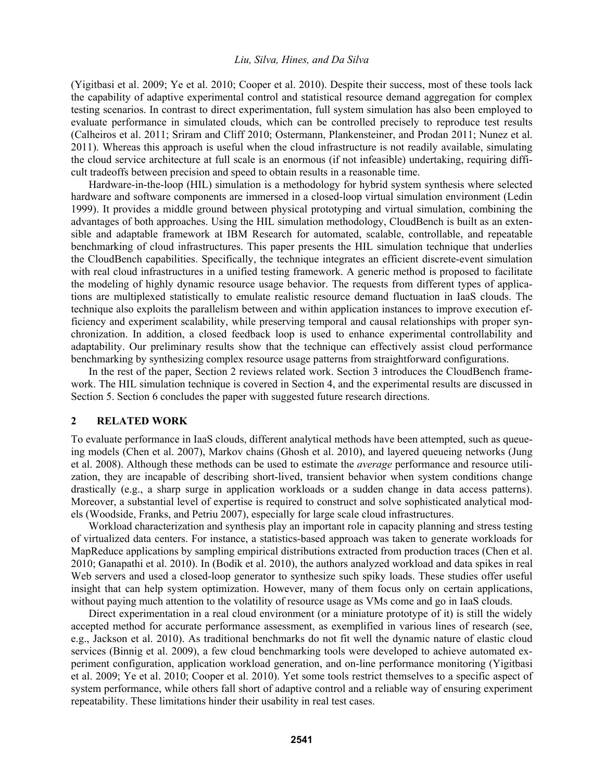(Yigitbasi et al. 2009; Ye et al. 2010; Cooper et al. 2010). Despite their success, most of these tools lack the capability of adaptive experimental control and statistical resource demand aggregation for complex testing scenarios. In contrast to direct experimentation, full system simulation has also been employed to evaluate performance in simulated clouds, which can be controlled precisely to reproduce test results (Calheiros et al. 2011; Sriram and Cliff 2010; Ostermann, Plankensteiner, and Prodan 2011; Nunez et al. 2011). Whereas this approach is useful when the cloud infrastructure is not readily available, simulating the cloud service architecture at full scale is an enormous (if not infeasible) undertaking, requiring difficult tradeoffs between precision and speed to obtain results in a reasonable time.

Hardware-in-the-loop (HIL) simulation is a methodology for hybrid system synthesis where selected hardware and software components are immersed in a closed-loop virtual simulation environment (Ledin 1999). It provides a middle ground between physical prototyping and virtual simulation, combining the advantages of both approaches. Using the HIL simulation methodology, CloudBench is built as an extensible and adaptable framework at IBM Research for automated, scalable, controllable, and repeatable benchmarking of cloud infrastructures. This paper presents the HIL simulation technique that underlies the CloudBench capabilities. Specifically, the technique integrates an efficient discrete-event simulation with real cloud infrastructures in a unified testing framework. A generic method is proposed to facilitate the modeling of highly dynamic resource usage behavior. The requests from different types of applications are multiplexed statistically to emulate realistic resource demand fluctuation in IaaS clouds. The technique also exploits the parallelism between and within application instances to improve execution efficiency and experiment scalability, while preserving temporal and causal relationships with proper synchronization. In addition, a closed feedback loop is used to enhance experimental controllability and adaptability. Our preliminary results show that the technique can effectively assist cloud performance benchmarking by synthesizing complex resource usage patterns from straightforward configurations.

In the rest of the paper, Section 2 reviews related work. Section 3 introduces the CloudBench framework. The HIL simulation technique is covered in Section 4, and the experimental results are discussed in Section 5. Section 6 concludes the paper with suggested future research directions.

## **2 RELATED WORK**

To evaluate performance in IaaS clouds, different analytical methods have been attempted, such as queueing models (Chen et al. 2007), Markov chains (Ghosh et al. 2010), and layered queueing networks (Jung et al. 2008). Although these methods can be used to estimate the *average* performance and resource utilization, they are incapable of describing short-lived, transient behavior when system conditions change drastically (e.g., a sharp surge in application workloads or a sudden change in data access patterns). Moreover, a substantial level of expertise is required to construct and solve sophisticated analytical models (Woodside, Franks, and Petriu 2007), especially for large scale cloud infrastructures.

Workload characterization and synthesis play an important role in capacity planning and stress testing of virtualized data centers. For instance, a statistics-based approach was taken to generate workloads for MapReduce applications by sampling empirical distributions extracted from production traces (Chen et al. 2010; Ganapathi et al. 2010). In (Bodik et al. 2010), the authors analyzed workload and data spikes in real Web servers and used a closed-loop generator to synthesize such spiky loads. These studies offer useful insight that can help system optimization. However, many of them focus only on certain applications, without paying much attention to the volatility of resource usage as VMs come and go in IaaS clouds.

Direct experimentation in a real cloud environment (or a miniature prototype of it) is still the widely accepted method for accurate performance assessment, as exemplified in various lines of research (see, e.g., Jackson et al. 2010). As traditional benchmarks do not fit well the dynamic nature of elastic cloud services (Binnig et al. 2009), a few cloud benchmarking tools were developed to achieve automated experiment configuration, application workload generation, and on-line performance monitoring (Yigitbasi et al. 2009; Ye et al. 2010; Cooper et al. 2010). Yet some tools restrict themselves to a specific aspect of system performance, while others fall short of adaptive control and a reliable way of ensuring experiment repeatability. These limitations hinder their usability in real test cases.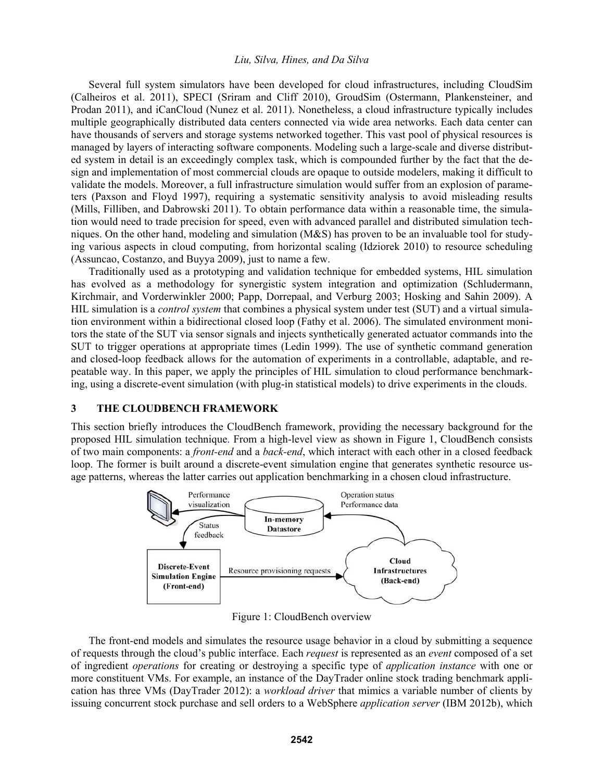Several full system simulators have been developed for cloud infrastructures, including CloudSim (Calheiros et al. 2011), SPECI (Sriram and Cliff 2010), GroudSim (Ostermann, Plankensteiner, and Prodan 2011), and iCanCloud (Nunez et al. 2011). Nonetheless, a cloud infrastructure typically includes multiple geographically distributed data centers connected via wide area networks. Each data center can have thousands of servers and storage systems networked together. This vast pool of physical resources is managed by layers of interacting software components. Modeling such a large-scale and diverse distributed system in detail is an exceedingly complex task, which is compounded further by the fact that the design and implementation of most commercial clouds are opaque to outside modelers, making it difficult to validate the models. Moreover, a full infrastructure simulation would suffer from an explosion of parameters (Paxson and Floyd 1997), requiring a systematic sensitivity analysis to avoid misleading results (Mills, Filliben, and Dabrowski 2011). To obtain performance data within a reasonable time, the simulation would need to trade precision for speed, even with advanced parallel and distributed simulation techniques. On the other hand, modeling and simulation (M&S) has proven to be an invaluable tool for studying various aspects in cloud computing, from horizontal scaling (Idziorek 2010) to resource scheduling (Assuncao, Costanzo, and Buyya 2009), just to name a few.

Traditionally used as a prototyping and validation technique for embedded systems, HIL simulation has evolved as a methodology for synergistic system integration and optimization (Schludermann, Kirchmair, and Vorderwinkler 2000; Papp, Dorrepaal, and Verburg 2003; Hosking and Sahin 2009). A HIL simulation is a *control system* that combines a physical system under test (SUT) and a virtual simulation environment within a bidirectional closed loop (Fathy et al. 2006). The simulated environment monitors the state of the SUT via sensor signals and injects synthetically generated actuator commands into the SUT to trigger operations at appropriate times (Ledin 1999). The use of synthetic command generation and closed-loop feedback allows for the automation of experiments in a controllable, adaptable, and repeatable way. In this paper, we apply the principles of HIL simulation to cloud performance benchmarking, using a discrete-event simulation (with plug-in statistical models) to drive experiments in the clouds.

## **3 THE CLOUDBENCH FRAMEWORK**

This section briefly introduces the CloudBench framework, providing the necessary background for the proposed HIL simulation technique. From a high-level view as shown in Figure 1, CloudBench consists of two main components: a *front-end* and a *back-end*, which interact with each other in a closed feedback loop. The former is built around a discrete-event simulation engine that generates synthetic resource usage patterns, whereas the latter carries out application benchmarking in a chosen cloud infrastructure.



Figure 1: CloudBench overview

The front-end models and simulates the resource usage behavior in a cloud by submitting a sequence of requests through the cloud's public interface. Each *request* is represented as an *event* composed of a set of ingredient *operations* for creating or destroying a specific type of *application instance* with one or more constituent VMs. For example, an instance of the DayTrader online stock trading benchmark application has three VMs (DayTrader 2012): a *workload driver* that mimics a variable number of clients by issuing concurrent stock purchase and sell orders to a WebSphere *application server* (IBM 2012b), which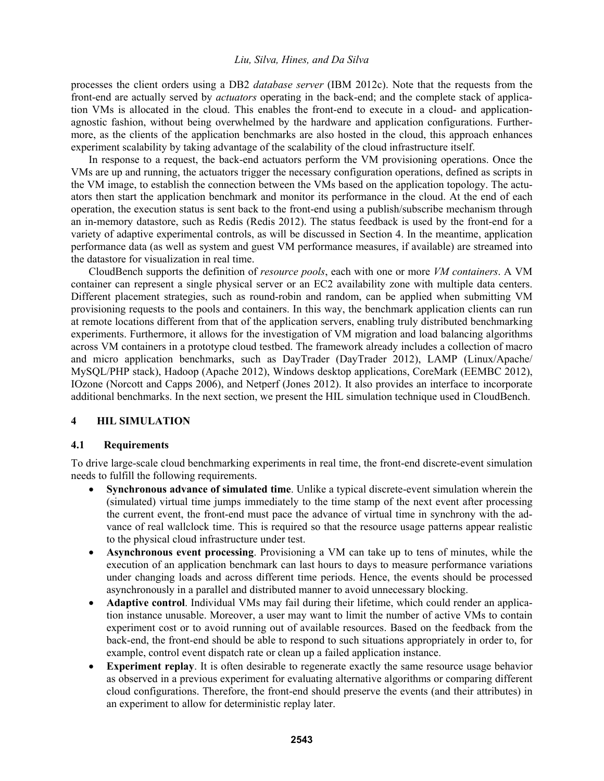processes the client orders using a DB2 *database server* (IBM 2012c). Note that the requests from the front-end are actually served by *actuators* operating in the back-end; and the complete stack of application VMs is allocated in the cloud. This enables the front-end to execute in a cloud- and applicationagnostic fashion, without being overwhelmed by the hardware and application configurations. Furthermore, as the clients of the application benchmarks are also hosted in the cloud, this approach enhances experiment scalability by taking advantage of the scalability of the cloud infrastructure itself.

In response to a request, the back-end actuators perform the VM provisioning operations. Once the VMs are up and running, the actuators trigger the necessary configuration operations, defined as scripts in the VM image, to establish the connection between the VMs based on the application topology. The actuators then start the application benchmark and monitor its performance in the cloud. At the end of each operation, the execution status is sent back to the front-end using a publish/subscribe mechanism through an in-memory datastore, such as Redis (Redis 2012). The status feedback is used by the front-end for a variety of adaptive experimental controls, as will be discussed in Section 4. In the meantime, application performance data (as well as system and guest VM performance measures, if available) are streamed into the datastore for visualization in real time.

CloudBench supports the definition of *resource pools*, each with one or more *VM containers*. A VM container can represent a single physical server or an EC2 availability zone with multiple data centers. Different placement strategies, such as round-robin and random, can be applied when submitting VM provisioning requests to the pools and containers. In this way, the benchmark application clients can run at remote locations different from that of the application servers, enabling truly distributed benchmarking experiments. Furthermore, it allows for the investigation of VM migration and load balancing algorithms across VM containers in a prototype cloud testbed. The framework already includes a collection of macro and micro application benchmarks, such as DayTrader (DayTrader 2012), LAMP (Linux/Apache/ MySQL/PHP stack), Hadoop (Apache 2012), Windows desktop applications, CoreMark (EEMBC 2012), IOzone (Norcott and Capps 2006), and Netperf (Jones 2012). It also provides an interface to incorporate additional benchmarks. In the next section, we present the HIL simulation technique used in CloudBench.

## **4 HIL SIMULATION**

## **4.1 Requirements**

To drive large-scale cloud benchmarking experiments in real time, the front-end discrete-event simulation needs to fulfill the following requirements.

- **Synchronous advance of simulated time**. Unlike a typical discrete-event simulation wherein the (simulated) virtual time jumps immediately to the time stamp of the next event after processing the current event, the front-end must pace the advance of virtual time in synchrony with the advance of real wallclock time. This is required so that the resource usage patterns appear realistic to the physical cloud infrastructure under test.
- **Asynchronous event processing**. Provisioning a VM can take up to tens of minutes, while the execution of an application benchmark can last hours to days to measure performance variations under changing loads and across different time periods. Hence, the events should be processed asynchronously in a parallel and distributed manner to avoid unnecessary blocking.
- **Adaptive control**. Individual VMs may fail during their lifetime, which could render an application instance unusable. Moreover, a user may want to limit the number of active VMs to contain experiment cost or to avoid running out of available resources. Based on the feedback from the back-end, the front-end should be able to respond to such situations appropriately in order to, for example, control event dispatch rate or clean up a failed application instance.
- **Experiment replay**. It is often desirable to regenerate exactly the same resource usage behavior as observed in a previous experiment for evaluating alternative algorithms or comparing different cloud configurations. Therefore, the front-end should preserve the events (and their attributes) in an experiment to allow for deterministic replay later.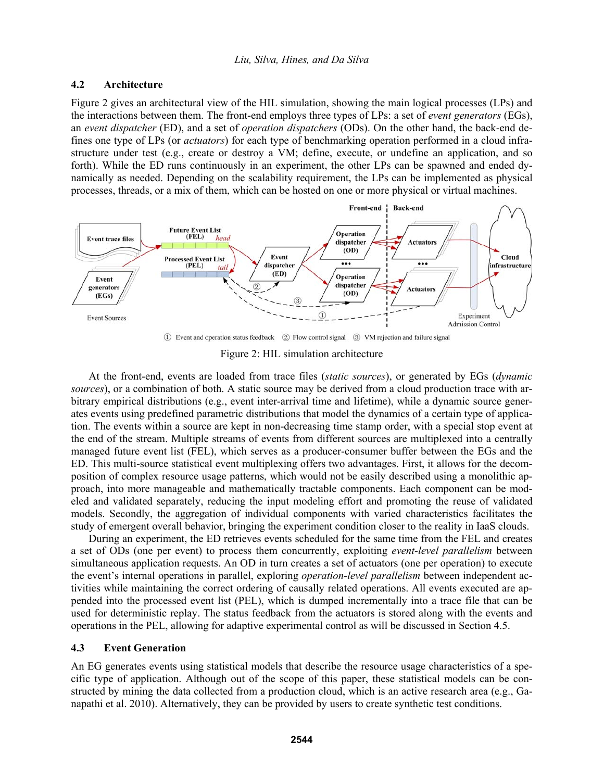# **4.2 Architecture**

Figure 2 gives an architectural view of the HIL simulation, showing the main logical processes (LPs) and the interactions between them. The front-end employs three types of LPs: a set of *event generators* (EGs), an *event dispatcher* (ED), and a set of *operation dispatchers* (ODs). On the other hand, the back-end defines one type of LPs (or *actuators*) for each type of benchmarking operation performed in a cloud infrastructure under test (e.g., create or destroy a VM; define, execute, or undefine an application, and so forth). While the ED runs continuously in an experiment, the other LPs can be spawned and ended dynamically as needed. Depending on the scalability requirement, the LPs can be implemented as physical processes, threads, or a mix of them, which can be hosted on one or more physical or virtual machines.



Figure 2: HIL simulation architecture

At the front-end, events are loaded from trace files (*static sources*), or generated by EGs (*dynamic sources*), or a combination of both. A static source may be derived from a cloud production trace with arbitrary empirical distributions (e.g., event inter-arrival time and lifetime), while a dynamic source generates events using predefined parametric distributions that model the dynamics of a certain type of application. The events within a source are kept in non-decreasing time stamp order, with a special stop event at the end of the stream. Multiple streams of events from different sources are multiplexed into a centrally managed future event list (FEL), which serves as a producer-consumer buffer between the EGs and the ED. This multi-source statistical event multiplexing offers two advantages. First, it allows for the decomposition of complex resource usage patterns, which would not be easily described using a monolithic approach, into more manageable and mathematically tractable components. Each component can be modeled and validated separately, reducing the input modeling effort and promoting the reuse of validated models. Secondly, the aggregation of individual components with varied characteristics facilitates the study of emergent overall behavior, bringing the experiment condition closer to the reality in IaaS clouds.

During an experiment, the ED retrieves events scheduled for the same time from the FEL and creates a set of ODs (one per event) to process them concurrently, exploiting *event-level parallelism* between simultaneous application requests. An OD in turn creates a set of actuators (one per operation) to execute the event's internal operations in parallel, exploring *operation-level parallelism* between independent activities while maintaining the correct ordering of causally related operations. All events executed are appended into the processed event list (PEL), which is dumped incrementally into a trace file that can be used for deterministic replay. The status feedback from the actuators is stored along with the events and operations in the PEL, allowing for adaptive experimental control as will be discussed in Section 4.5.

## **4.3 Event Generation**

An EG generates events using statistical models that describe the resource usage characteristics of a specific type of application. Although out of the scope of this paper, these statistical models can be constructed by mining the data collected from a production cloud, which is an active research area (e.g., Ganapathi et al. 2010). Alternatively, they can be provided by users to create synthetic test conditions.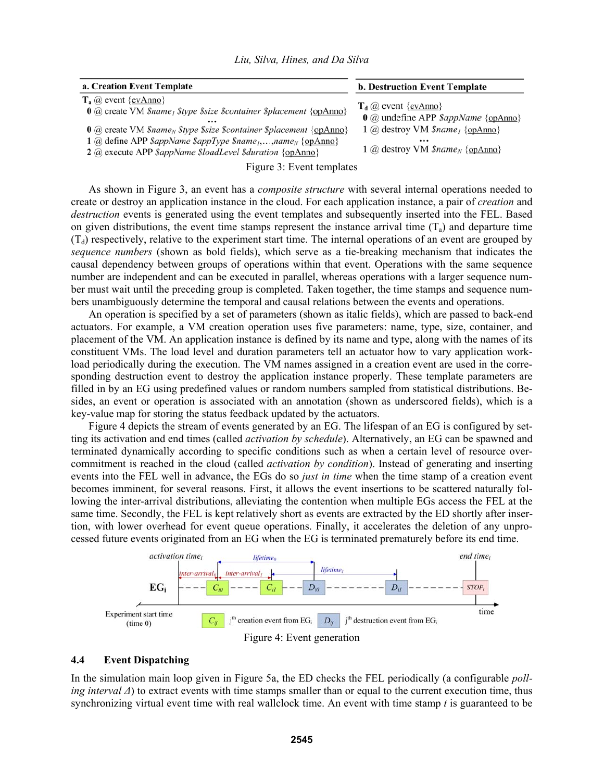| a. Creation Event Template                                                                                                                                                                                            | <b>b. Destruction Event Template</b>                                                                                                                                  |
|-----------------------------------------------------------------------------------------------------------------------------------------------------------------------------------------------------------------------|-----------------------------------------------------------------------------------------------------------------------------------------------------------------------|
| $T_a$ @ event {evAnno}<br>0 @ create VM \$name <sub>1</sub> \$type \$size \$container \$placement {opAnno}<br>$\cdots$<br>$\mathbf{0}$ @ create VM \$name <sub>N</sub> \$type \$size \$container \$placement {opAnno} | $T_d$ ( <i>a</i> ) event {evAnno}<br>$\mathbf{0}$ @ undefine APP <i>\$appName</i> { $\{opAnno\}$ }<br>1 $\omega$ destroy VM $\mathfrak{S}$ name <sub>l</sub> {opAnno} |
| 1 @ define APP SappName SappType Sname <sub>1</sub> ,,name <sub>N</sub> {opAnno}<br>2 @ execute APP \$appName \$loadLevel \$duration {opAnno}                                                                         | $\cdots$<br>1 @ destroy VM $\mathcal{S}$ name <sub>N</sub> {opAnno}                                                                                                   |

Figure 3: Event templates

As shown in Figure 3, an event has a *composite structure* with several internal operations needed to create or destroy an application instance in the cloud. For each application instance, a pair of *creation* and *destruction* events is generated using the event templates and subsequently inserted into the FEL. Based on given distributions, the event time stamps represent the instance arrival time  $(T_a)$  and departure time  $(T_d)$  respectively, relative to the experiment start time. The internal operations of an event are grouped by *sequence numbers* (shown as bold fields), which serve as a tie-breaking mechanism that indicates the causal dependency between groups of operations within that event. Operations with the same sequence number are independent and can be executed in parallel, whereas operations with a larger sequence number must wait until the preceding group is completed. Taken together, the time stamps and sequence numbers unambiguously determine the temporal and causal relations between the events and operations.

An operation is specified by a set of parameters (shown as italic fields), which are passed to back-end actuators. For example, a VM creation operation uses five parameters: name, type, size, container, and placement of the VM. An application instance is defined by its name and type, along with the names of its constituent VMs. The load level and duration parameters tell an actuator how to vary application workload periodically during the execution. The VM names assigned in a creation event are used in the corresponding destruction event to destroy the application instance properly. These template parameters are filled in by an EG using predefined values or random numbers sampled from statistical distributions. Besides, an event or operation is associated with an annotation (shown as underscored fields), which is a key-value map for storing the status feedback updated by the actuators.

Figure 4 depicts the stream of events generated by an EG. The lifespan of an EG is configured by setting its activation and end times (called *activation by schedule*). Alternatively, an EG can be spawned and terminated dynamically according to specific conditions such as when a certain level of resource overcommitment is reached in the cloud (called *activation by condition*). Instead of generating and inserting events into the FEL well in advance, the EGs do so *just in time* when the time stamp of a creation event becomes imminent, for several reasons. First, it allows the event insertions to be scattered naturally following the inter-arrival distributions, alleviating the contention when multiple EGs access the FEL at the same time. Secondly, the FEL is kept relatively short as events are extracted by the ED shortly after insertion, with lower overhead for event queue operations. Finally, it accelerates the deletion of any unprocessed future events originated from an EG when the EG is terminated prematurely before its end time.



#### **4.4 Event Dispatching**

In the simulation main loop given in Figure 5a, the ED checks the FEL periodically (a configurable *polling interval Δ*) to extract events with time stamps smaller than or equal to the current execution time, thus synchronizing virtual event time with real wallclock time. An event with time stamp *t* is guaranteed to be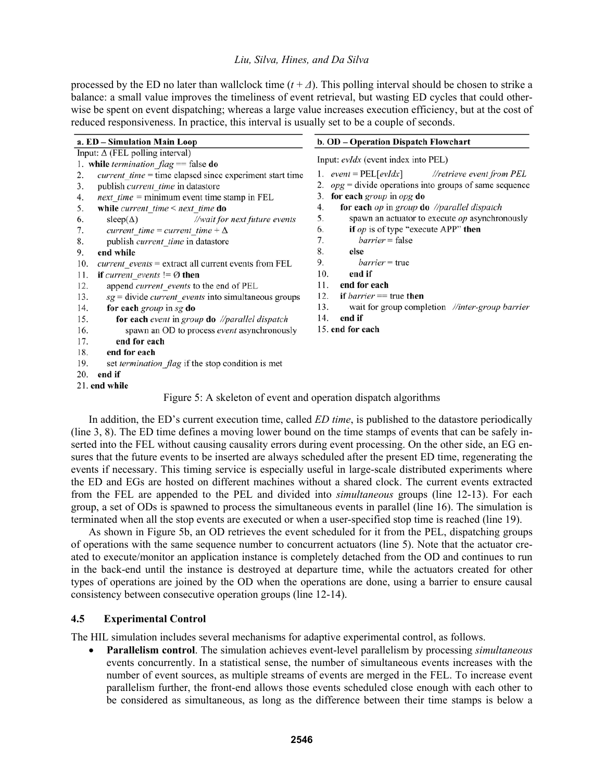processed by the ED no later than wallclock time  $(t + \Delta)$ . This polling interval should be chosen to strike a balance: a small value improves the timeliness of event retrieval, but wasting ED cycles that could otherwise be spent on event dispatching; whereas a large value increases execution efficiency, but at the cost of reduced responsiveness. In practice, this interval is usually set to be a couple of seconds.

| a. ED - Simulation Main Loop<br>b. OD - Operation Dispatch Flowchart                         |                                                           |  |  |  |
|----------------------------------------------------------------------------------------------|-----------------------------------------------------------|--|--|--|
| Input: $\Delta$ (FEL polling interval)                                                       |                                                           |  |  |  |
| Input: <i>evIdx</i> (event index into PEL)<br>1. while <i>termination</i> $flag == false$ do |                                                           |  |  |  |
| $current$ time = time elapsed since experiment start time                                    | //retrieve event from PEL                                 |  |  |  |
| 2.                                                                                           | 1. $event = PEL[evIdx]$                                   |  |  |  |
| publish current time in datastore<br>3.                                                      | 2. $opg =$ divide operations into groups of same sequence |  |  |  |
| <i>next time</i> = minimum event time stamp in FEL                                           | for each group in opg do                                  |  |  |  |
| 4.                                                                                           | 3.                                                        |  |  |  |
| while current time $\le$ next time do                                                        | for each $op$ in group do //parallel dispatch             |  |  |  |
| 5.                                                                                           | 4.                                                        |  |  |  |
| //wait for next future events<br>sleep( $\Delta$ )<br>6.                                     | 5.<br>spawn an actuator to execute op asynchronously      |  |  |  |
| 7.                                                                                           | if <i>op</i> is of type "execute APP" then                |  |  |  |
| <i>current_time = current_time + <math>\Delta</math></i>                                     | 6.                                                        |  |  |  |
| publish current_time in datastore                                                            | 7.                                                        |  |  |  |
| 8.                                                                                           | $barrier = false$                                         |  |  |  |
| 9.                                                                                           | 8.                                                        |  |  |  |
| end while                                                                                    | else                                                      |  |  |  |
| 10.                                                                                          | 9.                                                        |  |  |  |
| <i>current events</i> $=$ extract all current events from FEL                                | $bar = true$                                              |  |  |  |
| 11.                                                                                          | 10.                                                       |  |  |  |
| <b>if</b> current events $!=$ $\emptyset$ then                                               | end if                                                    |  |  |  |
| 12.                                                                                          | end for each                                              |  |  |  |
| append current_events to the end of PEL                                                      | 11.                                                       |  |  |  |
| $sg =$ divide <i>current</i> events into simultaneous groups                                 | 12.                                                       |  |  |  |
| 13.                                                                                          | if <i>barrier</i> == true then                            |  |  |  |
| 14.                                                                                          | 13.                                                       |  |  |  |
| for each group in sg do                                                                      | wait for group completion //inter-group barrier           |  |  |  |
| for each event in group do //parallel dispatch                                               | end if                                                    |  |  |  |
| 15.                                                                                          | 14.                                                       |  |  |  |
| spawn an OD to process event asynchronously<br>16.                                           | 15. end for each                                          |  |  |  |
| 17.<br>end for each                                                                          |                                                           |  |  |  |
| 18.<br>end for each                                                                          |                                                           |  |  |  |
| set termination_flag if the stop condition is met<br>19.                                     |                                                           |  |  |  |
| 20.<br>end if                                                                                |                                                           |  |  |  |
| 21. end while                                                                                |                                                           |  |  |  |
| Figure 5: A skeleton of event and operation dispatch algorithms                              |                                                           |  |  |  |

In addition, the ED's current execution time, called *ED time*, is published to the datastore periodically (line 3, 8). The ED time defines a moving lower bound on the time stamps of events that can be safely inserted into the FEL without causing causality errors during event processing. On the other side, an EG ensures that the future events to be inserted are always scheduled after the present ED time, regenerating the events if necessary. This timing service is especially useful in large-scale distributed experiments where the ED and EGs are hosted on different machines without a shared clock. The current events extracted from the FEL are appended to the PEL and divided into *simultaneous* groups (line 12-13). For each group, a set of ODs is spawned to process the simultaneous events in parallel (line 16). The simulation is terminated when all the stop events are executed or when a user-specified stop time is reached (line 19).

As shown in Figure 5b, an OD retrieves the event scheduled for it from the PEL, dispatching groups of operations with the same sequence number to concurrent actuators (line 5). Note that the actuator created to execute/monitor an application instance is completely detached from the OD and continues to run in the back-end until the instance is destroyed at departure time, while the actuators created for other types of operations are joined by the OD when the operations are done, using a barrier to ensure causal consistency between consecutive operation groups (line 12-14).

## **4.5 Experimental Control**

The HIL simulation includes several mechanisms for adaptive experimental control, as follows.

 **Parallelism control**. The simulation achieves event-level parallelism by processing *simultaneous* events concurrently. In a statistical sense, the number of simultaneous events increases with the number of event sources, as multiple streams of events are merged in the FEL. To increase event parallelism further, the front-end allows those events scheduled close enough with each other to be considered as simultaneous, as long as the difference between their time stamps is below a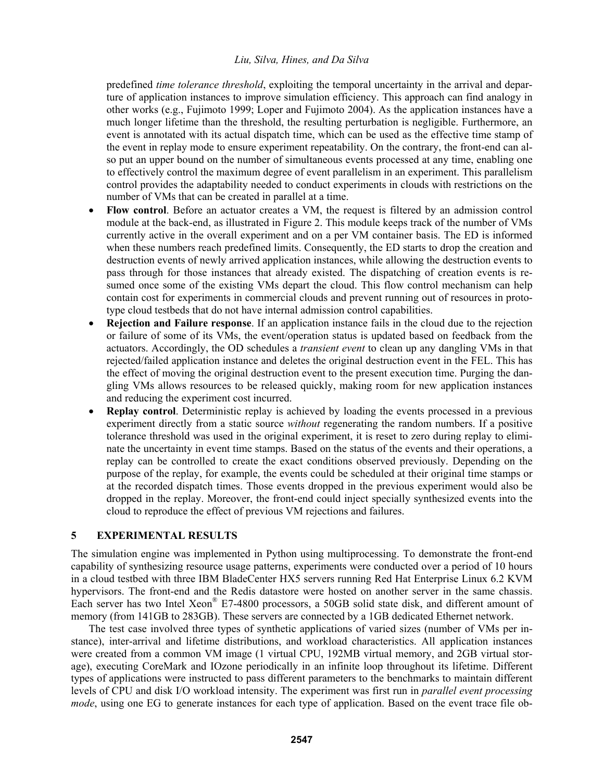predefined *time tolerance threshold*, exploiting the temporal uncertainty in the arrival and departure of application instances to improve simulation efficiency. This approach can find analogy in other works (e.g., Fujimoto 1999; Loper and Fujimoto 2004). As the application instances have a much longer lifetime than the threshold, the resulting perturbation is negligible. Furthermore, an event is annotated with its actual dispatch time, which can be used as the effective time stamp of the event in replay mode to ensure experiment repeatability. On the contrary, the front-end can also put an upper bound on the number of simultaneous events processed at any time, enabling one to effectively control the maximum degree of event parallelism in an experiment. This parallelism control provides the adaptability needed to conduct experiments in clouds with restrictions on the number of VMs that can be created in parallel at a time.

- **Flow control**. Before an actuator creates a VM, the request is filtered by an admission control module at the back-end, as illustrated in Figure 2. This module keeps track of the number of VMs currently active in the overall experiment and on a per VM container basis. The ED is informed when these numbers reach predefined limits. Consequently, the ED starts to drop the creation and destruction events of newly arrived application instances, while allowing the destruction events to pass through for those instances that already existed. The dispatching of creation events is resumed once some of the existing VMs depart the cloud. This flow control mechanism can help contain cost for experiments in commercial clouds and prevent running out of resources in prototype cloud testbeds that do not have internal admission control capabilities.
- **Rejection and Failure response**. If an application instance fails in the cloud due to the rejection or failure of some of its VMs, the event/operation status is updated based on feedback from the actuators. Accordingly, the OD schedules a *transient event* to clean up any dangling VMs in that rejected/failed application instance and deletes the original destruction event in the FEL. This has the effect of moving the original destruction event to the present execution time. Purging the dangling VMs allows resources to be released quickly, making room for new application instances and reducing the experiment cost incurred.
- **Replay control**. Deterministic replay is achieved by loading the events processed in a previous experiment directly from a static source *without* regenerating the random numbers. If a positive tolerance threshold was used in the original experiment, it is reset to zero during replay to eliminate the uncertainty in event time stamps. Based on the status of the events and their operations, a replay can be controlled to create the exact conditions observed previously. Depending on the purpose of the replay, for example, the events could be scheduled at their original time stamps or at the recorded dispatch times. Those events dropped in the previous experiment would also be dropped in the replay. Moreover, the front-end could inject specially synthesized events into the cloud to reproduce the effect of previous VM rejections and failures.

# **5 EXPERIMENTAL RESULTS**

The simulation engine was implemented in Python using multiprocessing. To demonstrate the front-end capability of synthesizing resource usage patterns, experiments were conducted over a period of 10 hours in a cloud testbed with three IBM BladeCenter HX5 servers running Red Hat Enterprise Linux 6.2 KVM hypervisors. The front-end and the Redis datastore were hosted on another server in the same chassis. Each server has two Intel Xeon<sup>®</sup> E7-4800 processors, a 50GB solid state disk, and different amount of memory (from 141GB to 283GB). These servers are connected by a 1GB dedicated Ethernet network.

The test case involved three types of synthetic applications of varied sizes (number of VMs per instance), inter-arrival and lifetime distributions, and workload characteristics. All application instances were created from a common VM image (1 virtual CPU, 192MB virtual memory, and 2GB virtual storage), executing CoreMark and IOzone periodically in an infinite loop throughout its lifetime. Different types of applications were instructed to pass different parameters to the benchmarks to maintain different levels of CPU and disk I/O workload intensity. The experiment was first run in *parallel event processing mode*, using one EG to generate instances for each type of application. Based on the event trace file ob-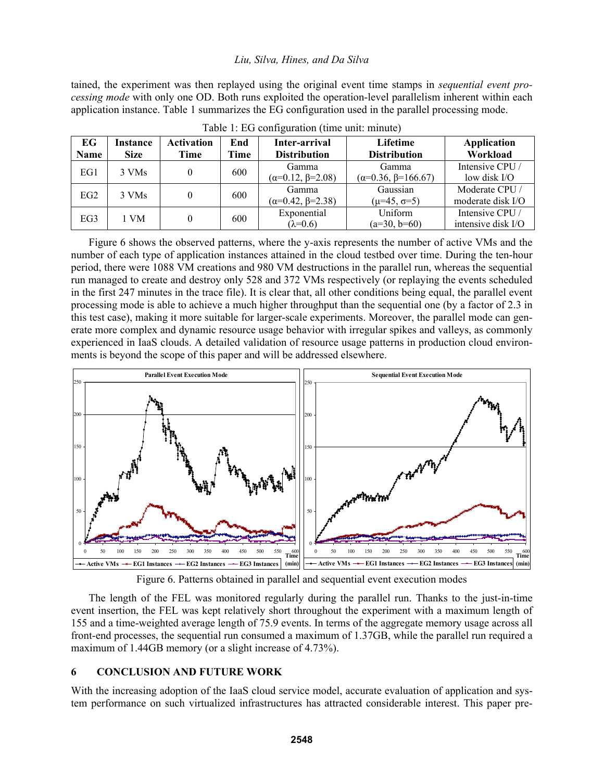tained, the experiment was then replayed using the original event time stamps in *sequential event processing mode* with only one OD. Both runs exploited the operation-level parallelism inherent within each application instance. Table 1 summarizes the EG configuration used in the parallel processing mode.

| EG<br><b>Name</b> | Instance<br><b>Size</b> | <b>Activation</b><br>Time | End<br>Time | Inter-arrival<br><b>Distribution</b> | Lifetime<br><b>Distribution</b>        | <b>Application</b><br>Workload        |
|-------------------|-------------------------|---------------------------|-------------|--------------------------------------|----------------------------------------|---------------------------------------|
| EG1               | 3 VMs                   | 0                         | 600         | Gamma<br>$(\alpha=0.12, \beta=2.08)$ | Gamma<br>$(\alpha=0.36, \beta=166.67)$ | Intensive CPU /<br>low disk I/O       |
| EG2               | 3 VMs                   |                           | 600         | Gamma<br>$(\alpha=0.42, \beta=2.38)$ | Gaussian<br>$(\mu=45, \sigma=5)$       | Moderate CPU /<br>moderate disk I/O   |
| EG3               | 1 VM                    |                           | 600         | Exponential<br>$(\lambda=0.6)$       | Uniform<br>$(a=30, b=60)$              | Intensive CPU /<br>intensive disk I/O |

| Table 1: EG configuration (time unit: minute) |  |
|-----------------------------------------------|--|
|-----------------------------------------------|--|

Figure 6 shows the observed patterns, where the y-axis represents the number of active VMs and the number of each type of application instances attained in the cloud testbed over time. During the ten-hour period, there were 1088 VM creations and 980 VM destructions in the parallel run, whereas the sequential run managed to create and destroy only 528 and 372 VMs respectively (or replaying the events scheduled in the first 247 minutes in the trace file). It is clear that, all other conditions being equal, the parallel event processing mode is able to achieve a much higher throughput than the sequential one (by a factor of 2.3 in this test case), making it more suitable for larger-scale experiments. Moreover, the parallel mode can generate more complex and dynamic resource usage behavior with irregular spikes and valleys, as commonly experienced in IaaS clouds. A detailed validation of resource usage patterns in production cloud environments is beyond the scope of this paper and will be addressed elsewhere.



Figure 6. Patterns obtained in parallel and sequential event execution modes

The length of the FEL was monitored regularly during the parallel run. Thanks to the just-in-time event insertion, the FEL was kept relatively short throughout the experiment with a maximum length of 155 and a time-weighted average length of 75.9 events. In terms of the aggregate memory usage across all front-end processes, the sequential run consumed a maximum of 1.37GB, while the parallel run required a maximum of 1.44GB memory (or a slight increase of 4.73%).

# **6 CONCLUSION AND FUTURE WORK**

With the increasing adoption of the IaaS cloud service model, accurate evaluation of application and system performance on such virtualized infrastructures has attracted considerable interest. This paper pre-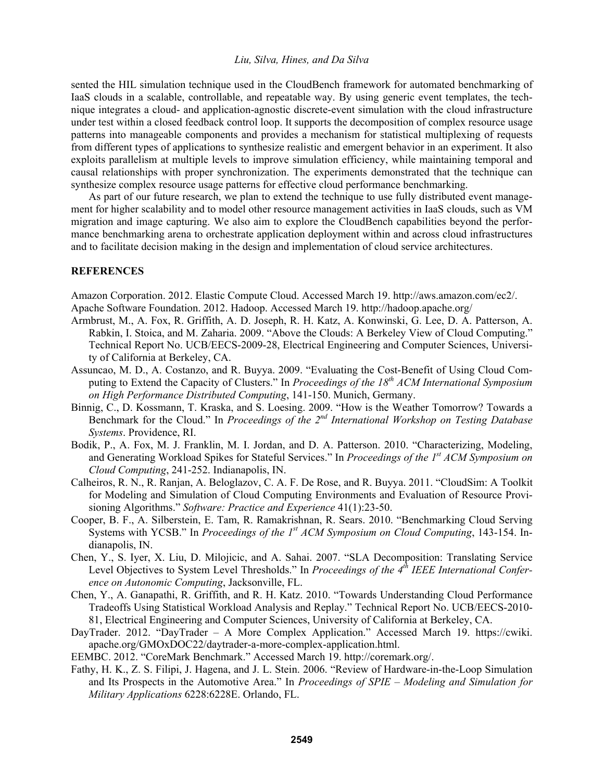sented the HIL simulation technique used in the CloudBench framework for automated benchmarking of IaaS clouds in a scalable, controllable, and repeatable way. By using generic event templates, the technique integrates a cloud- and application-agnostic discrete-event simulation with the cloud infrastructure under test within a closed feedback control loop. It supports the decomposition of complex resource usage patterns into manageable components and provides a mechanism for statistical multiplexing of requests from different types of applications to synthesize realistic and emergent behavior in an experiment. It also exploits parallelism at multiple levels to improve simulation efficiency, while maintaining temporal and causal relationships with proper synchronization. The experiments demonstrated that the technique can synthesize complex resource usage patterns for effective cloud performance benchmarking.

As part of our future research, we plan to extend the technique to use fully distributed event management for higher scalability and to model other resource management activities in IaaS clouds, such as VM migration and image capturing. We also aim to explore the CloudBench capabilities beyond the performance benchmarking arena to orchestrate application deployment within and across cloud infrastructures and to facilitate decision making in the design and implementation of cloud service architectures.

## **REFERENCES**

Amazon Corporation. 2012. Elastic Compute Cloud. Accessed March 19. http://aws.amazon.com/ec2/. Apache Software Foundation. 2012. Hadoop. Accessed March 19. http://hadoop.apache.org/

- Armbrust, M., A. Fox, R. Griffith, A. D. Joseph, R. H. Katz, A. Konwinski, G. Lee, D. A. Patterson, A. Rabkin, I. Stoica, and M. Zaharia. 2009. "Above the Clouds: A Berkeley View of Cloud Computing." Technical Report No. UCB/EECS-2009-28, Electrical Engineering and Computer Sciences, University of California at Berkeley, CA.
- Assuncao, M. D., A. Costanzo, and R. Buyya. 2009. "Evaluating the Cost-Benefit of Using Cloud Computing to Extend the Capacity of Clusters." In *Proceedings of the 18th ACM International Symposium on High Performance Distributed Computing*, 141-150. Munich, Germany.
- Binnig, C., D. Kossmann, T. Kraska, and S. Loesing. 2009. "How is the Weather Tomorrow? Towards a Benchmark for the Cloud." In *Proceedings of the 2nd International Workshop on Testing Database Systems*. Providence, RI.
- Bodik, P., A. Fox, M. J. Franklin, M. I. Jordan, and D. A. Patterson. 2010. "Characterizing, Modeling, and Generating Workload Spikes for Stateful Services." In *Proceedings of the 1st ACM Symposium on Cloud Computing*, 241-252. Indianapolis, IN.
- Calheiros, R. N., R. Ranjan, A. Beloglazov, C. A. F. De Rose, and R. Buyya. 2011. "CloudSim: A Toolkit for Modeling and Simulation of Cloud Computing Environments and Evaluation of Resource Provisioning Algorithms." *Software: Practice and Experience* 41(1):23-50.
- Cooper, B. F., A. Silberstein, E. Tam, R. Ramakrishnan, R. Sears. 2010. "Benchmarking Cloud Serving Systems with YCSB." In *Proceedings of the 1<sup>st</sup> ACM Symposium on Cloud Computing*, 143-154. Indianapolis, IN.
- Chen, Y., S. Iyer, X. Liu, D. Milojicic, and A. Sahai. 2007. "SLA Decomposition: Translating Service Level Objectives to System Level Thresholds." In *Proceedings of the 4th IEEE International Conference on Autonomic Computing*, Jacksonville, FL.
- Chen, Y., A. Ganapathi, R. Griffith, and R. H. Katz. 2010. "Towards Understanding Cloud Performance Tradeoffs Using Statistical Workload Analysis and Replay." Technical Report No. UCB/EECS-2010- 81, Electrical Engineering and Computer Sciences, University of California at Berkeley, CA.
- DayTrader. 2012. "DayTrader A More Complex Application." Accessed March 19. https://cwiki. apache.org/GMOxDOC22/daytrader-a-more-complex-application.html.

EEMBC. 2012. "CoreMark Benchmark." Accessed March 19. http://coremark.org/.

Fathy, H. K., Z. S. Filipi, J. Hagena, and J. L. Stein. 2006. "Review of Hardware-in-the-Loop Simulation and Its Prospects in the Automotive Area." In *Proceedings of SPIE – Modeling and Simulation for Military Applications* 6228:6228E. Orlando, FL.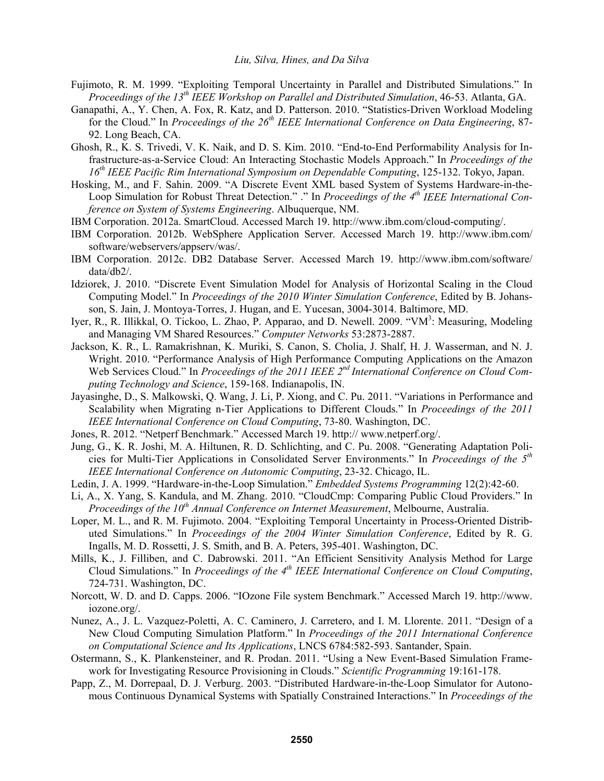- Fujimoto, R. M. 1999. "Exploiting Temporal Uncertainty in Parallel and Distributed Simulations." In *Proceedings of the 13th IEEE Workshop on Parallel and Distributed Simulation*, 46-53. Atlanta, GA.
- Ganapathi, A., Y. Chen, A. Fox, R. Katz, and D. Patterson. 2010. "Statistics-Driven Workload Modeling for the Cloud." In *Proceedings of the 26th IEEE International Conference on Data Engineering*, 87- 92. Long Beach, CA.
- Ghosh, R., K. S. Trivedi, V. K. Naik, and D. S. Kim. 2010. "End-to-End Performability Analysis for Infrastructure-as-a-Service Cloud: An Interacting Stochastic Models Approach." In *Proceedings of the 16th IEEE Pacific Rim International Symposium on Dependable Computing*, 125-132. Tokyo, Japan.
- Hosking, M., and F. Sahin. 2009. "A Discrete Event XML based System of Systems Hardware-in-the-Loop Simulation for Robust Threat Detection." ." In *Proceedings of the 4<sup>th</sup> IEEE International Conference on System of Systems Engineering*. Albuquerque, NM.
- IBM Corporation. 2012a. SmartCloud. Accessed March 19. http://www.ibm.com/cloud-computing/.
- IBM Corporation. 2012b. WebSphere Application Server. Accessed March 19. http://www.ibm.com/ software/webservers/appserv/was/.
- IBM Corporation. 2012c. DB2 Database Server. Accessed March 19. http://www.ibm.com/software/ data/db2/.
- Idziorek, J. 2010. "Discrete Event Simulation Model for Analysis of Horizontal Scaling in the Cloud Computing Model." In *Proceedings of the 2010 Winter Simulation Conference*, Edited by B. Johansson, S. Jain, J. Montoya-Torres, J. Hugan, and E. Yucesan, 3004-3014. Baltimore, MD.
- Iyer, R., R. Illikkal, O. Tickoo, L. Zhao, P. Apparao, and D. Newell. 2009. "VM<sup>3</sup>: Measuring, Modeling and Managing VM Shared Resources." *Computer Networks* 53:2873-2887.
- Jackson, K. R., L. Ramakrishnan, K. Muriki, S. Canon, S. Cholia, J. Shalf, H. J. Wasserman, and N. J. Wright. 2010. "Performance Analysis of High Performance Computing Applications on the Amazon Web Services Cloud." In *Proceedings of the 2011 IEEE 2<sup>nd</sup> International Conference on Cloud Computing Technology and Science*, 159-168. Indianapolis, IN.
- Jayasinghe, D., S. Malkowski, Q. Wang, J. Li, P. Xiong, and C. Pu. 2011. "Variations in Performance and Scalability when Migrating n-Tier Applications to Different Clouds." In *Proceedings of the 2011 IEEE International Conference on Cloud Computing*, 73-80. Washington, DC.
- Jones, R. 2012. "Netperf Benchmark." Accessed March 19. http:// www.netperf.org/.
- Jung, G., K. R. Joshi, M. A. Hiltunen, R. D. Schlichting, and C. Pu. 2008. "Generating Adaptation Policies for Multi-Tier Applications in Consolidated Server Environments." In *Proceedings of the 5th IEEE International Conference on Autonomic Computing*, 23-32. Chicago, IL.
- Ledin, J. A. 1999. "Hardware-in-the-Loop Simulation." *Embedded Systems Programming* 12(2):42-60.
- Li, A., X. Yang, S. Kandula, and M. Zhang. 2010. "CloudCmp: Comparing Public Cloud Providers." In *Proceedings of the 10<sup>th</sup> Annual Conference on Internet Measurement*, Melbourne, Australia.
- Loper, M. L., and R. M. Fujimoto. 2004. "Exploiting Temporal Uncertainty in Process-Oriented Distributed Simulations." In *Proceedings of the 2004 Winter Simulation Conference*, Edited by R. G. Ingalls, M. D. Rossetti, J. S. Smith, and B. A. Peters, 395-401. Washington, DC.
- Mills, K., J. Filliben, and C. Dabrowski. 2011. "An Efficient Sensitivity Analysis Method for Large Cloud Simulations." In *Proceedings of the 4th IEEE International Conference on Cloud Computing*, 724-731. Washington, DC.
- Norcott, W. D. and D. Capps. 2006. "IOzone File system Benchmark." Accessed March 19. http://www. iozone.org/.
- Nunez, A., J. L. Vazquez-Poletti, A. C. Caminero, J. Carretero, and I. M. Llorente. 2011. "Design of a New Cloud Computing Simulation Platform." In *Proceedings of the 2011 International Conference on Computational Science and Its Applications*, LNCS 6784:582-593. Santander, Spain.
- Ostermann, S., K. Plankensteiner, and R. Prodan. 2011. "Using a New Event-Based Simulation Framework for Investigating Resource Provisioning in Clouds." *Scientific Programming* 19:161-178.
- Papp, Z., M. Dorrepaal, D. J. Verburg. 2003. "Distributed Hardware-in-the-Loop Simulator for Autonomous Continuous Dynamical Systems with Spatially Constrained Interactions." In *Proceedings of the*